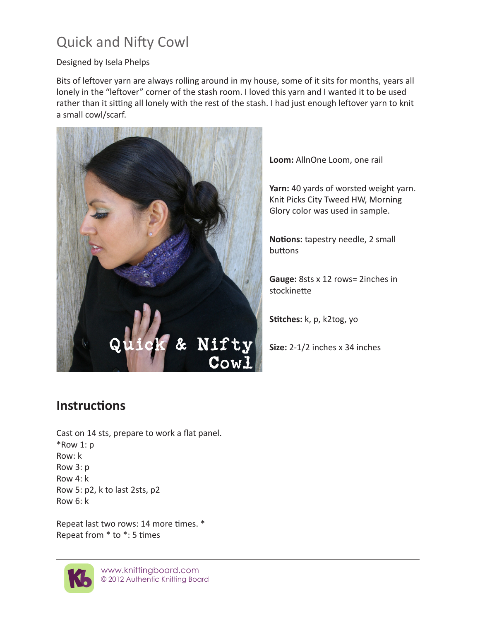## Quick and Nifty Cowl

## Designed by Isela Phelps

Bits of leftover yarn are always rolling around in my house, some of it sits for months, years all lonely in the "leftover" corner of the stash room. I loved this yarn and I wanted it to be used rather than it sitting all lonely with the rest of the stash. I had just enough leftover yarn to knit a small cowl/scarf.



**Loom:** AllnOne Loom, one rail

**Yarn:** 40 yards of worsted weight yarn. Knit Picks City Tweed HW, Morning Glory color was used in sample.

**Notions:** tapestry needle, 2 small buttons

**Gauge:** 8sts x 12 rows= 2inches in stockinette

**Stitches:** k, p, k2tog, yo

**Size:** 2-1/2 inches x 34 inches

## **Instructions**

Cast on 14 sts, prepare to work a flat panel. \*Row 1: p Row: k Row 3: p Row 4: k Row 5: p2, k to last 2sts, p2 Row 6: k

Repeat last two rows: 14 more times. \* Repeat from \* to \*: 5 times



www.knittingboard.com © 2012 Authentic Knitting Board